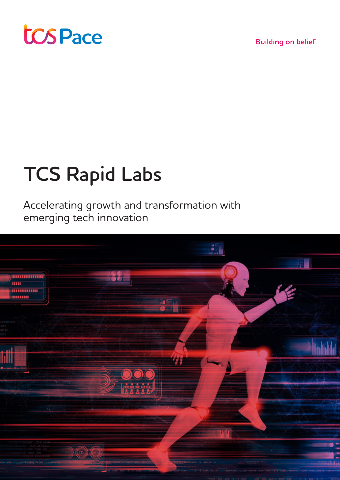

**Building on belief** 

# **TCS Rapid Labs**

Accelerating growth and transformation with emerging tech innovation

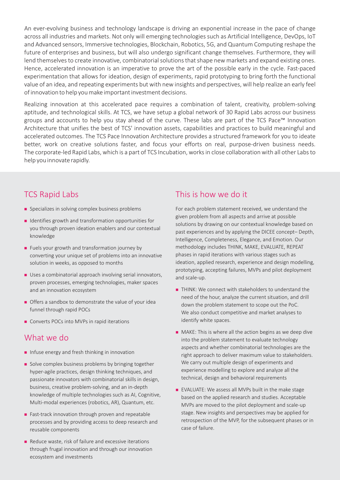An ever-evolving business and technology landscape is driving an exponential increase in the pace of change across all industries and markets. Not only will emerging technologies such as Artificial Intelligence, DevOps, IoT and Advanced sensors, Immersive technologies, Blockchain, Robotics, 5G, and Quantum Computing reshape the future of enterprises and business, but will also undergo significant change themselves. Furthermore, they will lend themselves to create innovative, combinatorial solutions that shape new markets and expand existing ones. Hence, accelerated innovation is an imperative to prove the art of the possible early in the cycle. Fast-paced experimentation that allows for ideation, design of experiments, rapid prototyping to bring forth the functional value of an idea, and repeating experiments but with new insights and perspectives, will help realize an early feel of innovation to help you make important investment decisions.

Realizing innovation at this accelerated pace requires a combination of talent, creativity, problem-solving aptitude, and technological skills. At TCS, we have setup a global network of 30 Rapid Labs across our business groups and accounts to help you stay ahead of the curve. These labs are part of the TCS Pace<sup>™</sup> Innovation Architecture that unifies the best of TCS' innovation assets, capabilities and practices to build meaningful and accelerated outcomes. The TCS Pace Innovation Architecture provides a structured framework for you to ideate better, work on creative solutions faster, and focus your efforts on real, purpose-driven business needs. The corporate-led Rapid Labs, which is a part of TCS Incubation, works in close collaboration with all other Labs to help you innovate rapidly.

## TCS Rapid Labs

- **n** Specializes in solving complex business problems
- <sup>n</sup> Identifies growth and transformation opportunities for you through proven ideation enablers and our contextual knowledge
- $\blacksquare$  Fuels your growth and transformation journey by converting your unique set of problems into an innovative solution in weeks, as opposed to months
- **n** Uses a combinatorial approach involving serial innovators, proven processes, emerging technologies, maker spaces and an innovation ecosystem
- **n** Offers a sandbox to demonstrate the value of your idea funnel through rapid POCs
- Converts POCs into MVPs in rapid iterations

## What we do

- n Infuse energy and fresh thinking in innovation
- **n** Solve complex business problems by bringing together hyper-agile practices, design thinking techniques, and passionate innovators with combinatorial skills in design, business, creative problem-solving, and an in-depth knowledge of multiple technologies such as AI, Cognitive, Multi-modal experiences (robotics, AR), Quantum, etc.
- <sup>n</sup> Fast-track innovation through proven and repeatable processes and by providing access to deep research and reusable components
- $\blacksquare$  Reduce waste, risk of failure and excessive iterations through frugal innovation and through our innovation ecosystem and investments

## This is how we do it

For each problem statement received, we understand the given problem from all aspects and arrive at possible solutions by drawing on our contextual knowledge based on past experiences and by applying the DICEE concept– Depth, Intelligence, Completeness, Elegance, and Emotion. Our methodology includes THINK, MAKE, EVALUATE, REPEAT phases in rapid iterations with various stages such as ideation, applied research, experience and design modelling, prototyping, accepting failures, MVPs and pilot deployment and scale-up.

- THINK: We connect with stakeholders to understand the need of the hour, analyze the current situation, and drill down the problem statement to scope out the PoC. We also conduct competitive and market analyses to identify white spaces.
- $\blacksquare$  MAKE: This is where all the action begins as we deep dive into the problem statement to evaluate technology aspects and whether combinatorial technologies are the right approach to deliver maximum value to stakeholders. We carry out multiple design of experiments and experience modelling to explore and analyze all the technical, design and behavioral requirements
- <sup>n</sup> EVALUATE: We assess all MVPs built in the make stage based on the applied research and studies. Acceptable MVPs are moved to the pilot deployment and scale-up stage. New insights and perspectives may be applied for retrospection of the MVP, for the subsequent phases or in case of failure.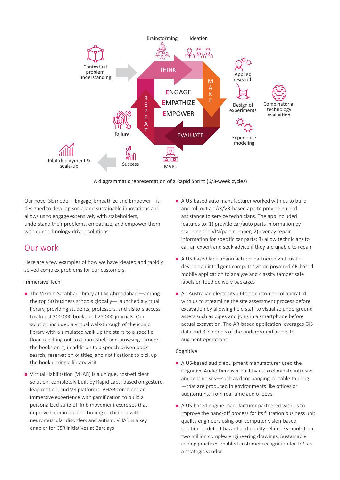

A diagrammatic representation of a Rapid Sprint (6/8-week cycles)

Our novel 3E model—Engage, Empathize and Empower—is designed to develop social and sustainable innovations and allows us to engage extensively with stakeholders, understand their problems, empathize, and empower them with our technology-driven solutions.

### Our work

Here are a few examples of how we have ideated and rapidly solved complex problems for our customers.

#### Immersive Tech

- $\blacksquare$  The Vikram Sarabhai Library at IIM Ahmedabad —among the top 50 business schools globally— launched a virtual library, providing students, professors, and visitors access to almost 200,000 books and 25,000 journals. Our solution included a virtual walk-through of the iconic library with a simulated walk up the stairs to a specific floor, reaching out to a book shelf, and browsing through the books on it, in addition to a speech-driven book search, reservation of titles, and notifications to pick up the book during a library visit
- Virtual Habilitation (VHAB) is a unique, cost-efficient solution, completely built by Rapid Labs, based on gesture, leap motion, and VR platforms. VHAB combines an immersive experience with gamification to build a personalized suite of limb movement exercises that improve locomotive functioning in children with neuromuscular disorders and autism. VHAB is a key enabler for CSR initiatives at Barclays
- A US-based auto manufacturer worked with us to build and roll out an AR/VR-based app to provide guided assistance to service technicians. The app included features to: 1) provide car/auto parts information by scanning the VIN/part number; 2) overlay repair information for specific car parts; 3) allow technicians to call an expert and seek advice if they are unable to repair
- <sup>n</sup> A US-based label manufacturer partnered with us to develop an intelligent computer vision powered AR-based mobile application to analyze and classify tamper safe labels on food delivery packages
- <sup>n</sup> An Australian electricity utilities customer collaborated with us to streamline the site assessment process before excavation by allowing field staff to visualize underground assets such as pipes and joins in a smartphone before actual excavation. The AR-based application leverages GIS data and 3D models of the underground assets to augment operations

#### Cognitive

- A US-based audio equipment manufacturer used the Cognitive Audio Denoiser built by us to eliminate intrusive ambient noises—such as door banging, or table-tapping —that are produced in environments like offices or auditoriums, from real-time audio feeds
- A US-based engine manufacturer partnered with us to improve the hand-off process for its filtration business unit quality engineers using our computer vision-based solution to detect hazard and quality related symbols from two million complex engineering drawings. Sustainable coding practices enabled customer recognition for TCS as a strategic vendor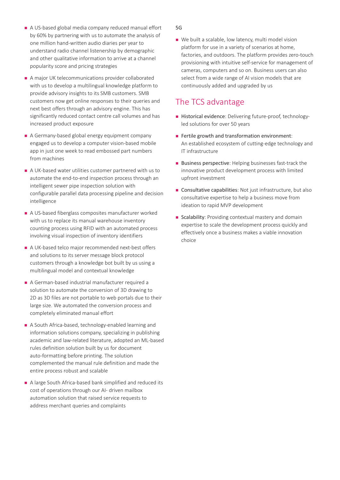- <sup>n</sup> A US-based global media company reduced manual effort by 60% by partnering with us to automate the analysis of one million hand-written audio diaries per year to understand radio channel listenership by demographic and other qualitative information to arrive at a channel popularity score and pricing strategies
- A major UK telecommunications provider collaborated with us to develop a multilingual knowledge platform to provide advisory insights to its SMB customers. SMB customers now get online responses to their queries and next best offers through an advisory engine. This has significantly reduced contact centre call volumes and has increased product exposure
- A Germany-based global energy equipment company engaged us to develop a computer vision-based mobile app in just one week to read embossed part numbers from machines
- <sup>n</sup> A UK-based water utilities customer partnered with us to automate the end-to-end inspection process through an intelligent sewer pipe inspection solution with configurable parallel data processing pipeline and decision intelligence
- A US-based fiberglass composites manufacturer worked with us to replace its manual warehouse inventory counting process using RFID with an automated process involving visual inspection of inventory identifiers
- A UK-based telco major recommended next-best offers and solutions to its server message block protocol customers through a knowledge bot built by us using a multilingual model and contextual knowledge
- <sup>n</sup> A German-based industrial manufacturer required a solution to automate the conversion of 3D drawing to 2D as 3D files are not portable to web portals due to their large size. We automated the conversion process and completely eliminated manual effort
- <sup>n</sup> A South Africa-based, technology-enabled learning and information solutions company, specializing in publishing academic and law-related literature, adopted an ML-based rules definition solution built by us for document auto-formatting before printing. The solution complemented the manual rule definition and made the entire process robust and scalable
- <sup>n</sup> A large South Africa-based bank simplified and reduced its cost of operations through our AI- driven mailbox automation solution that raised service requests to address merchant queries and complaints

5G

■ We built a scalable, low latency, multi model vision platform for use in a variety of scenarios at home, factories, and outdoors. The platform provides zero-touch provisioning with intuitive self-service for management of cameras, computers and so on. Business users can also select from a wide range of AI vision models that are continuously added and upgraded by us

## The TCS advantage

- Historical evidence: Delivering future-proof, technologyled solutions for over 50 years
- $\blacksquare$  Fertile growth and transformation environment: An established ecosystem of cutting-edge technology and IT infrastructure
- Business perspective: Helping businesses fast-track the innovative product development process with limited upfront investment
- Consultative capabilities: Not just infrastructure, but also consultative expertise to help a business move from ideation to rapid MVP development
- Scalability: Providing contextual mastery and domain expertise to scale the development process quickly and effectively once a business makes a viable innovation choice